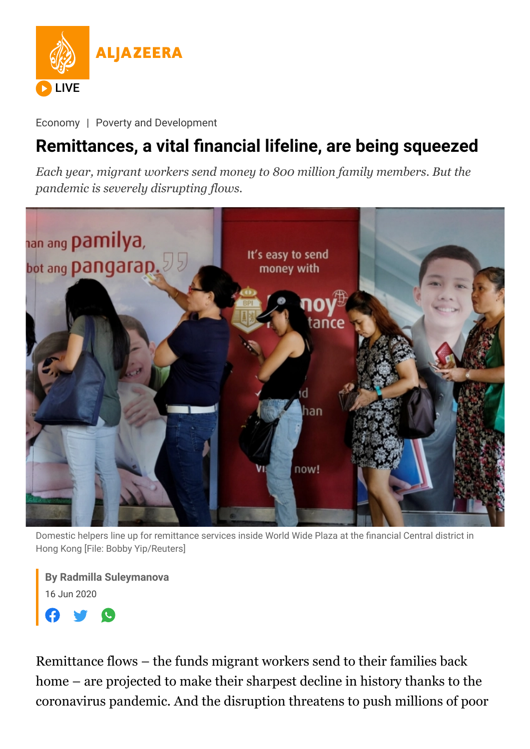

[Economy](https://www.aljazeera.com/economy/) | [Poverty and Development](https://www.aljazeera.com/tag/poverty-and-development/)

## **Remittances, a vital financial lifeline, are being squeezed**

*Each year, migrant workers send money to 800 million family members. But the pandemic is severely disrupting flows.*



Domestic helpers line up for remittance services inside World Wide Plaza at the financial Central district in Hong Kong [File: Bobby Yip/Reuters]

**By [Radmilla Suleymanova](https://www.aljazeera.com/author/radmilla_suleymanova_200218170247033)** 16 Jun 2020



Remittance flows – the funds migrant workers send to their families back home – are projected to make their sharpest decline in history thanks to the coronavirus pandemic. And the disruption threatens to push millions of poor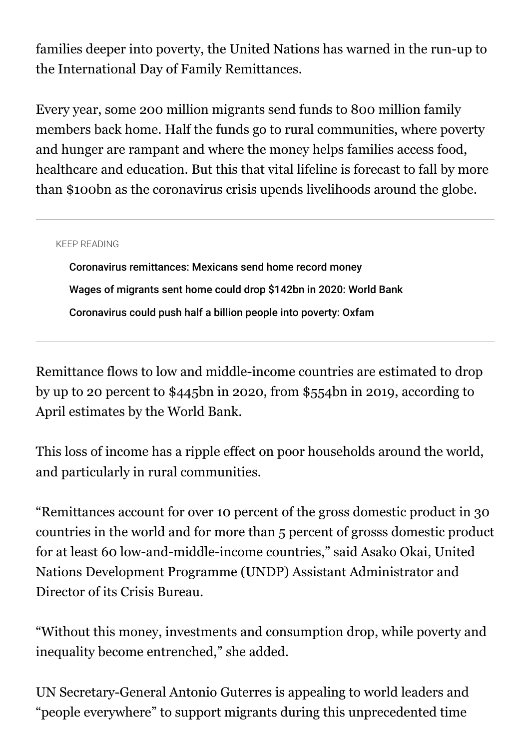families deeper into poverty, the United Nations has warned in the run-up to the International Day of Family Remittances.

Every year, some 200 million migrants send funds to 800 million family members back home. Half the funds go to rural communities, where poverty and hunger are rampant and where the money helps families access food, healthcare and education. But this that vital lifeline is forecast to fall by more than \$100bn as the coronavirus crisis upends livelihoods around the globe.

## KEEP READING

[Coronavirus remittances: Mexicans send home record money](https://www.aljazeera.com/economy/2020/5/4/coronavirus-remittances-mexicans-send-home-record-money) [Wages of migrants sent home could drop \\$142bn in 2020: World Bank](https://www.aljazeera.com/economy/2020/4/22/wages-of-migrants-sent-home-could-drop-142bn-in-2020-world-bank) [Coronavirus could push half a billion people into poverty: Oxfam](https://www.aljazeera.com/economy/2020/4/8/coronavirus-could-push-half-a-billion-people-into-poverty-oxfam)

Remittance flows to low and middle-income countries are estimated to drop by up to 20 percent to \$445bn in 2020, from \$554bn in 2019, according to April estimates by the World Bank.

This loss of income has a ripple effect on poor households around the world, and particularly in rural communities.

"Remittances account for over 10 percent of the gross domestic product in 30 countries in the world and for more than 5 percent of grosss domestic product for at least 60 low-and-middle-income countries," said Asako Okai, United Nations Development Programme (UNDP) Assistant Administrator and Director of its Crisis Bureau.

"Without this money, investments and consumption drop, while poverty and inequality become entrenched," she added.

UN Secretary-General Antonio Guterres is appealing to world leaders and "people everywhere" to support migrants during this unprecedented time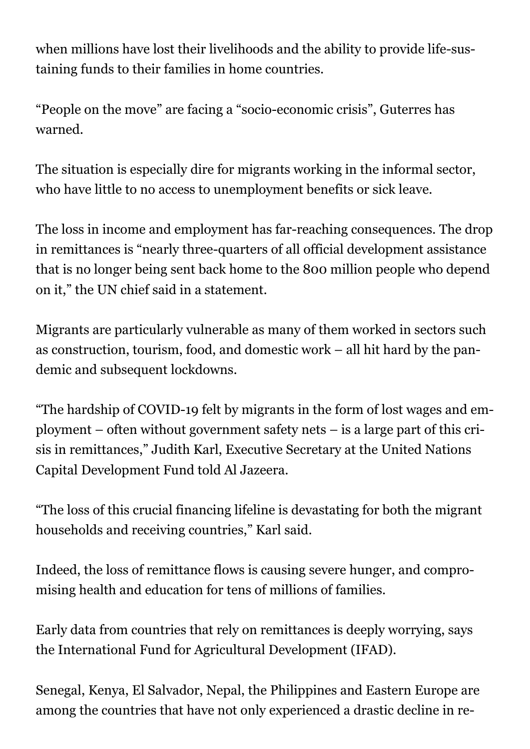when millions have lost their livelihoods and the ability to provide life-sustaining funds to their families in home countries.

"People on the move" are facing a "socio-economic crisis", Guterres has warned.

The situation is especially dire for migrants working in the informal sector, who have little to no access to unemployment benefits or sick leave.

The loss in income and employment has far-reaching consequences. The drop in remittances is "nearly three-quarters of all official development assistance that is no longer being sent back home to the 800 million people who depend on it," the UN chief said in a statement.

Migrants are particularly vulnerable as many of them worked in sectors such as construction, tourism, food, and domestic work – all hit hard by the pandemic and subsequent lockdowns.

"The hardship of COVID-19 felt by migrants in the form of lost wages and employment – often without government safety nets – is a large part of this crisis in remittances," Judith Karl, Executive Secretary at the United Nations Capital Development Fund told Al Jazeera.

"The loss of this crucial financing lifeline is devastating for both the migrant households and receiving countries," Karl said.

Indeed, the loss of remittance flows is causing severe hunger, and compromising health and education for tens of millions of families.

Early data from countries that rely on remittances is deeply worrying, says the International Fund for Agricultural Development (IFAD).

Senegal, Kenya, El Salvador, Nepal, the Philippines and Eastern Europe are among the countries that have not only experienced a drastic decline in re